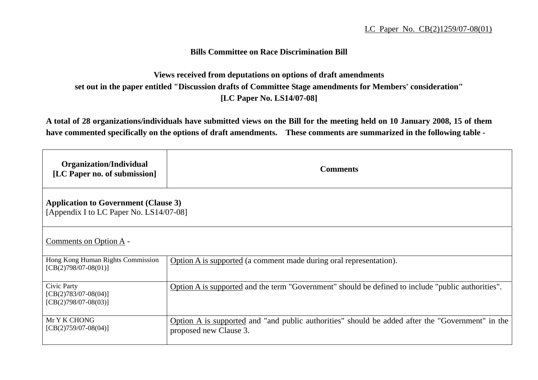## **Bills Committee on Race Discrimination Bill**

## **Views received from deputations on options of draft amendments set out in the paper entitled "Discussion drafts of Committee Stage amendments for Members' consideration" [LC Paper No. LS14/07-08]**

**A total of 28 organizations/individuals have submitted views on the Bill for the meeting held on 10 January 2008, 15 of them have commented specifically on the options of draft amendments. These comments are summarized in the following table -** 

| Organization/Individual<br>[LC Paper no. of submission]                                | <b>Comments</b>                                                                                                            |
|----------------------------------------------------------------------------------------|----------------------------------------------------------------------------------------------------------------------------|
| <b>Application to Government (Clause 3)</b><br>[Appendix I to LC Paper No. LS14/07-08] |                                                                                                                            |
| Comments on Option A -                                                                 |                                                                                                                            |
| Hong Kong Human Rights Commission<br>$[CB(2)798/07-08(01)]$                            | Option A is supported (a comment made during oral representation).                                                         |
| Civic Party<br>$[CB(2)783/07-08(04)]$<br>$[CB(2)798/07-08(03)]$                        | Option A is supported and the term "Government" should be defined to include "public authorities".                         |
| Mr Y K CHONG<br>$[CB(2)759/07-08(04)]$                                                 | Option A is supported and "and public authorities" should be added after the "Government" in the<br>proposed new Clause 3. |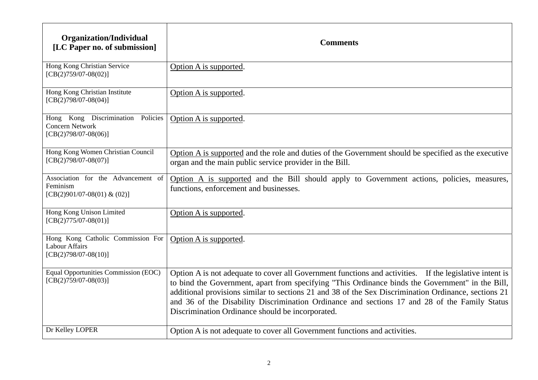| <b>Organization/Individual</b><br>[LC Paper no. of submission]                        | <b>Comments</b>                                                                                                                                                                                                                                                                                                                                                                                                                                                          |
|---------------------------------------------------------------------------------------|--------------------------------------------------------------------------------------------------------------------------------------------------------------------------------------------------------------------------------------------------------------------------------------------------------------------------------------------------------------------------------------------------------------------------------------------------------------------------|
| Hong Kong Christian Service<br>$[CB(2)759/07-08(02)]$                                 | Option A is supported.                                                                                                                                                                                                                                                                                                                                                                                                                                                   |
| Hong Kong Christian Institute<br>$[CB(2)798/07-08(04)]$                               | Option A is supported.                                                                                                                                                                                                                                                                                                                                                                                                                                                   |
| Hong Kong Discrimination Policies<br><b>Concern Network</b><br>$[CB(2)798/07-08(06)]$ | Option A is supported.                                                                                                                                                                                                                                                                                                                                                                                                                                                   |
| Hong Kong Women Christian Council<br>$[CB(2)798/07-08(07)]$                           | Option A is supported and the role and duties of the Government should be specified as the executive<br>organ and the main public service provider in the Bill.                                                                                                                                                                                                                                                                                                          |
| Association for the Advancement of<br>Feminism<br>[CB(2)901/07-08(01) & (02)]         | Option A is supported and the Bill should apply to Government actions, policies, measures,<br>functions, enforcement and businesses.                                                                                                                                                                                                                                                                                                                                     |
| Hong Kong Unison Limited<br>$[CB(2)775/07-08(01)]$                                    | Option A is supported.                                                                                                                                                                                                                                                                                                                                                                                                                                                   |
| Hong Kong Catholic Commission For<br><b>Labour Affairs</b><br>$[CB(2)798/07-08(10)]$  | Option A is supported.                                                                                                                                                                                                                                                                                                                                                                                                                                                   |
| Equal Opportunities Commission (EOC)<br>$[CB(2)759/07-08(03)]$                        | Option A is not adequate to cover all Government functions and activities. If the legislative intent is<br>to bind the Government, apart from specifying "This Ordinance binds the Government" in the Bill,<br>additional provisions similar to sections 21 and 38 of the Sex Discrimination Ordinance, sections 21<br>and 36 of the Disability Discrimination Ordinance and sections 17 and 28 of the Family Status<br>Discrimination Ordinance should be incorporated. |
| Dr Kelley LOPER                                                                       | Option A is not adequate to cover all Government functions and activities.                                                                                                                                                                                                                                                                                                                                                                                               |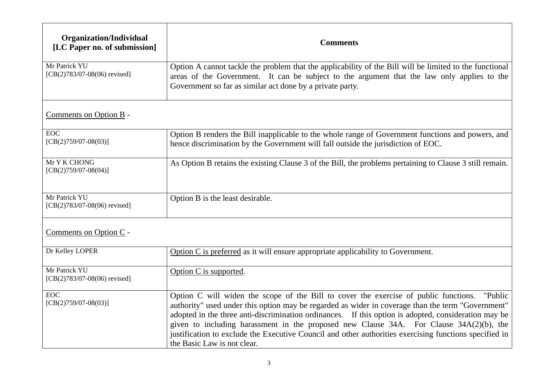| <b>Organization/Individual</b><br>[LC Paper no. of submission] | <b>Comments</b>                                                                                                                                                                                                                                                                                                                                                                                                                                                                                                                                   |
|----------------------------------------------------------------|---------------------------------------------------------------------------------------------------------------------------------------------------------------------------------------------------------------------------------------------------------------------------------------------------------------------------------------------------------------------------------------------------------------------------------------------------------------------------------------------------------------------------------------------------|
| Mr Patrick YU<br>$[CB(2)783/07-08(06)$ revised]                | Option A cannot tackle the problem that the applicability of the Bill will be limited to the functional<br>areas of the Government. It can be subject to the argument that the law only applies to the<br>Government so far as similar act done by a private party.                                                                                                                                                                                                                                                                               |
| Comments on Option B -                                         |                                                                                                                                                                                                                                                                                                                                                                                                                                                                                                                                                   |
| <b>EOC</b><br>$[CB(2)759/07-08(03)]$                           | Option B renders the Bill inapplicable to the whole range of Government functions and powers, and<br>hence discrimination by the Government will fall outside the jurisdiction of EOC.                                                                                                                                                                                                                                                                                                                                                            |
| Mr Y K CHONG<br>$[CB(2)759/07-08(04)]$                         | As Option B retains the existing Clause 3 of the Bill, the problems pertaining to Clause 3 still remain.                                                                                                                                                                                                                                                                                                                                                                                                                                          |
| Mr Patrick YU<br>$[CB(2)783/07-08(06)$ revised]                | Option B is the least desirable.                                                                                                                                                                                                                                                                                                                                                                                                                                                                                                                  |
| Comments on Option C -                                         |                                                                                                                                                                                                                                                                                                                                                                                                                                                                                                                                                   |
| Dr Kelley LOPER                                                | Option C is preferred as it will ensure appropriate applicability to Government.                                                                                                                                                                                                                                                                                                                                                                                                                                                                  |
| Mr Patrick YU<br>$[CB(2)783/07-08(06)$ revised]                | Option C is supported.                                                                                                                                                                                                                                                                                                                                                                                                                                                                                                                            |
| <b>EOC</b><br>$[CB(2)759/07-08(03)]$                           | Option C will widen the scope of the Bill to cover the exercise of public functions.<br>"Public"<br>authority" used under this option may be regarded as wider in coverage than the term "Government"<br>adopted in the three anti-discrimination ordinances. If this option is adopted, consideration may be<br>given to including harassment in the proposed new Clause 34A. For Clause 34A(2)(b), the<br>justification to exclude the Executive Council and other authorities exercising functions specified in<br>the Basic Law is not clear. |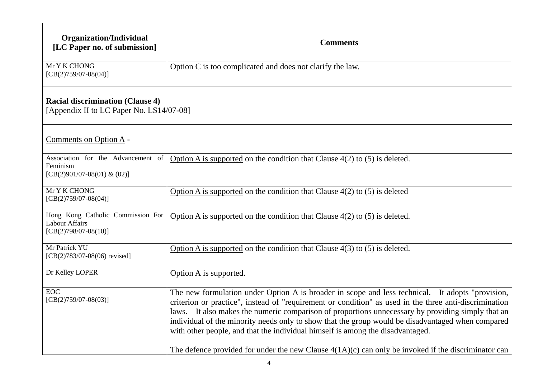| Organization/Individual<br>[LC Paper no. of submission]                             | <b>Comments</b>                                                                                                                                                                                                                                                                                                                                                                                                                                                                                                                                                                                                 |
|-------------------------------------------------------------------------------------|-----------------------------------------------------------------------------------------------------------------------------------------------------------------------------------------------------------------------------------------------------------------------------------------------------------------------------------------------------------------------------------------------------------------------------------------------------------------------------------------------------------------------------------------------------------------------------------------------------------------|
| Mr Y K CHONG<br>$[CB(2)759/07-08(04)]$                                              | Option C is too complicated and does not clarify the law.                                                                                                                                                                                                                                                                                                                                                                                                                                                                                                                                                       |
| <b>Racial discrimination (Clause 4)</b><br>[Appendix II to LC Paper No. LS14/07-08] |                                                                                                                                                                                                                                                                                                                                                                                                                                                                                                                                                                                                                 |
| Comments on Option A -                                                              |                                                                                                                                                                                                                                                                                                                                                                                                                                                                                                                                                                                                                 |
| Association for the Advancement of<br>Feminism<br>[CB(2)901/07-08(01) & (02)]       | Option A is supported on the condition that Clause $4(2)$ to (5) is deleted.                                                                                                                                                                                                                                                                                                                                                                                                                                                                                                                                    |
| Mr Y K CHONG<br>$[CB(2)759/07-08(04)]$                                              | Option A is supported on the condition that Clause $4(2)$ to (5) is deleted                                                                                                                                                                                                                                                                                                                                                                                                                                                                                                                                     |
| Hong Kong Catholic Commission For<br>Labour Affairs<br>$[CB(2)798/07-08(10)]$       | Option A is supported on the condition that Clause $4(2)$ to (5) is deleted.                                                                                                                                                                                                                                                                                                                                                                                                                                                                                                                                    |
| Mr Patrick YU<br>$[CB(2)783/07-08(06)$ revised]                                     | Option A is supported on the condition that Clause $4(3)$ to (5) is deleted.                                                                                                                                                                                                                                                                                                                                                                                                                                                                                                                                    |
| Dr Kelley LOPER                                                                     | Option A is supported.                                                                                                                                                                                                                                                                                                                                                                                                                                                                                                                                                                                          |
| $EO\overline{C}$<br>$[CB(2)759/07-08(03)]$                                          | The new formulation under Option A is broader in scope and less technical. It adopts "provision,<br>criterion or practice", instead of "requirement or condition" as used in the three anti-discrimination<br>laws. It also makes the numeric comparison of proportions unnecessary by providing simply that an<br>individual of the minority needs only to show that the group would be disadvantaged when compared<br>with other people, and that the individual himself is among the disadvantaged.<br>The defence provided for under the new Clause $4(1A)(c)$ can only be invoked if the discriminator can |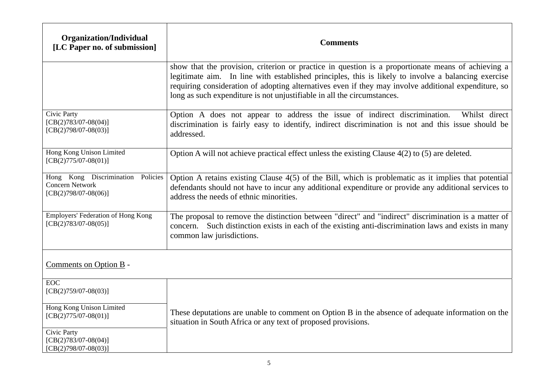| <b>Organization/Individual</b><br>[LC Paper no. of submission]                        | <b>Comments</b>                                                                                                                                                                                                                                                                                                                                                                              |
|---------------------------------------------------------------------------------------|----------------------------------------------------------------------------------------------------------------------------------------------------------------------------------------------------------------------------------------------------------------------------------------------------------------------------------------------------------------------------------------------|
|                                                                                       | show that the provision, criterion or practice in question is a proportionate means of achieving a<br>legitimate aim. In line with established principles, this is likely to involve a balancing exercise<br>requiring consideration of adopting alternatives even if they may involve additional expenditure, so<br>long as such expenditure is not unjustifiable in all the circumstances. |
| Civic Party<br>$[CB(2)783/07-08(04)]$<br>$[CB(2)798/07-08(03)]$                       | Option A does not appear to address the issue of indirect discrimination.<br>Whilst direct<br>discrimination is fairly easy to identify, indirect discrimination is not and this issue should be<br>addressed.                                                                                                                                                                               |
| Hong Kong Unison Limited<br>$[CB(2)775/07-08(01)]$                                    | Option A will not achieve practical effect unless the existing Clause 4(2) to (5) are deleted.                                                                                                                                                                                                                                                                                               |
| Hong Kong Discrimination Policies<br><b>Concern Network</b><br>$[CB(2)798/07-08(06)]$ | Option A retains existing Clause $4(5)$ of the Bill, which is problematic as it implies that potential<br>defendants should not have to incur any additional expenditure or provide any additional services to<br>address the needs of ethnic minorities.                                                                                                                                    |
| Employers' Federation of Hong Kong<br>$[CB(2)783/07-08(05)]$                          | The proposal to remove the distinction between "direct" and "indirect" discrimination is a matter of<br>concern. Such distinction exists in each of the existing anti-discrimination laws and exists in many<br>common law jurisdictions.                                                                                                                                                    |
| Comments on Option B -                                                                |                                                                                                                                                                                                                                                                                                                                                                                              |
| <b>EOC</b><br>$[CB(2)759/07-08(03)]$                                                  |                                                                                                                                                                                                                                                                                                                                                                                              |
| Hong Kong Unison Limited<br>$[CB(2)775/07-08(01)]$                                    | These deputations are unable to comment on Option B in the absence of adequate information on the<br>situation in South Africa or any text of proposed provisions.                                                                                                                                                                                                                           |
| Civic Party<br>$[CB(2)783/07-08(04)]$<br>$[CB(2)798/07-08(03)]$                       |                                                                                                                                                                                                                                                                                                                                                                                              |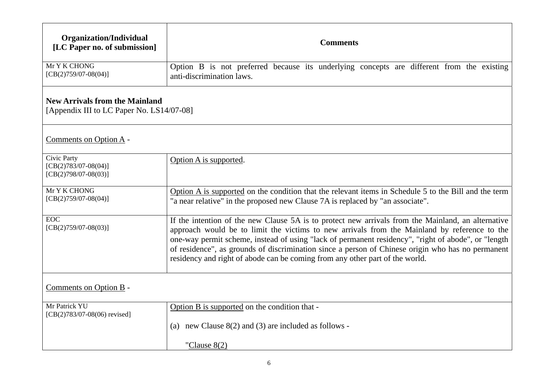| Organization/Individual<br>[LC Paper no. of submission]                            | <b>Comments</b>                                                                                                                                                                                                                                                                                                                                                                                                                                                                                |
|------------------------------------------------------------------------------------|------------------------------------------------------------------------------------------------------------------------------------------------------------------------------------------------------------------------------------------------------------------------------------------------------------------------------------------------------------------------------------------------------------------------------------------------------------------------------------------------|
| Mr Y K CHONG<br>$[CB(2)759/07-08(04)]$                                             | Option B is not preferred because its underlying concepts are different from the existing<br>anti-discrimination laws.                                                                                                                                                                                                                                                                                                                                                                         |
| <b>New Arrivals from the Mainland</b><br>[Appendix III to LC Paper No. LS14/07-08] |                                                                                                                                                                                                                                                                                                                                                                                                                                                                                                |
| Comments on Option A -                                                             |                                                                                                                                                                                                                                                                                                                                                                                                                                                                                                |
| Civic Party<br>$[CB(2)783/07-08(04)]$<br>$[CB(2)798/07-08(03)]$                    | Option A is supported.                                                                                                                                                                                                                                                                                                                                                                                                                                                                         |
| Mr Y K CHONG<br>$[CB(2)759/07-08(04)]$                                             | Option A is supported on the condition that the relevant items in Schedule 5 to the Bill and the term<br>"a near relative" in the proposed new Clause 7A is replaced by "an associate".                                                                                                                                                                                                                                                                                                        |
| <b>EOC</b><br>$[CB(2)759/07-08(03)]$                                               | If the intention of the new Clause 5A is to protect new arrivals from the Mainland, an alternative<br>approach would be to limit the victims to new arrivals from the Mainland by reference to the<br>one-way permit scheme, instead of using "lack of permanent residency", "right of abode", or "length<br>of residence", as grounds of discrimination since a person of Chinese origin who has no permanent<br>residency and right of abode can be coming from any other part of the world. |
| Comments on Option B -                                                             |                                                                                                                                                                                                                                                                                                                                                                                                                                                                                                |
| Mr Patrick YU<br>[CB(2)783/07-08(06) revised]                                      | Option B is supported on the condition that -                                                                                                                                                                                                                                                                                                                                                                                                                                                  |
|                                                                                    | new Clause $8(2)$ and (3) are included as follows -<br>(a)                                                                                                                                                                                                                                                                                                                                                                                                                                     |
|                                                                                    | "Clause $8(2)$                                                                                                                                                                                                                                                                                                                                                                                                                                                                                 |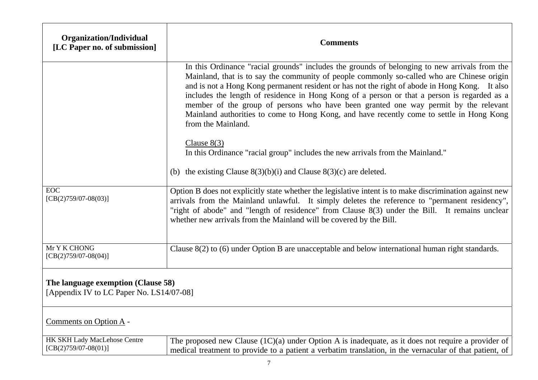| <b>Organization/Individual</b><br>[LC Paper no. of submission]                 | <b>Comments</b>                                                                                                                                                                                                                                                                                                                                                                                                                                                                                                                                                                                      |
|--------------------------------------------------------------------------------|------------------------------------------------------------------------------------------------------------------------------------------------------------------------------------------------------------------------------------------------------------------------------------------------------------------------------------------------------------------------------------------------------------------------------------------------------------------------------------------------------------------------------------------------------------------------------------------------------|
|                                                                                | In this Ordinance "racial grounds" includes the grounds of belonging to new arrivals from the<br>Mainland, that is to say the community of people commonly so-called who are Chinese origin<br>and is not a Hong Kong permanent resident or has not the right of abode in Hong Kong. It also<br>includes the length of residence in Hong Kong of a person or that a person is regarded as a<br>member of the group of persons who have been granted one way permit by the relevant<br>Mainland authorities to come to Hong Kong, and have recently come to settle in Hong Kong<br>from the Mainland. |
|                                                                                | Clause $8(3)$<br>In this Ordinance "racial group" includes the new arrivals from the Mainland."                                                                                                                                                                                                                                                                                                                                                                                                                                                                                                      |
|                                                                                | (b) the existing Clause $8(3)(b)(i)$ and Clause $8(3)(c)$ are deleted.                                                                                                                                                                                                                                                                                                                                                                                                                                                                                                                               |
| <b>EOC</b><br>$[CB(2)759/07-08(03)]$                                           | Option B does not explicitly state whether the legislative intent is to make discrimination against new<br>arrivals from the Mainland unlawful. It simply deletes the reference to "permanent residency",<br>"right of abode" and "length of residence" from Clause 8(3) under the Bill. It remains unclear<br>whether new arrivals from the Mainland will be covered by the Bill.                                                                                                                                                                                                                   |
| Mr Y K CHONG<br>$[CB(2)759/07-08(04)]$                                         | Clause 8(2) to (6) under Option B are unacceptable and below international human right standards.                                                                                                                                                                                                                                                                                                                                                                                                                                                                                                    |
| The language exemption (Clause 58)<br>[Appendix IV to LC Paper No. LS14/07-08] |                                                                                                                                                                                                                                                                                                                                                                                                                                                                                                                                                                                                      |
| Comments on Option A -                                                         |                                                                                                                                                                                                                                                                                                                                                                                                                                                                                                                                                                                                      |
| HK SKH Lady MacLehose Centre<br>$[CB(2)759/07-08(01)]$                         | The proposed new Clause $(1C)(a)$ under Option A is inadequate, as it does not require a provider of<br>medical treatment to provide to a patient a verbatim translation, in the vernacular of that patient, of                                                                                                                                                                                                                                                                                                                                                                                      |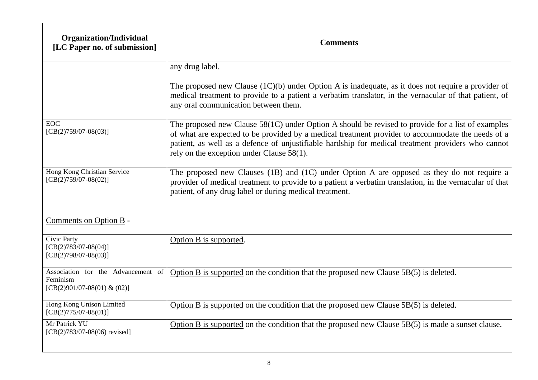| <b>Organization/Individual</b><br>[LC Paper no. of submission]                | <b>Comments</b>                                                                                                                                                                                                                                                                                                                                             |
|-------------------------------------------------------------------------------|-------------------------------------------------------------------------------------------------------------------------------------------------------------------------------------------------------------------------------------------------------------------------------------------------------------------------------------------------------------|
|                                                                               | any drug label.                                                                                                                                                                                                                                                                                                                                             |
|                                                                               | The proposed new Clause $(1C)(b)$ under Option A is inadequate, as it does not require a provider of<br>medical treatment to provide to a patient a verbatim translator, in the vernacular of that patient, of<br>any oral communication between them.                                                                                                      |
| <b>EOC</b><br>$[CB(2)759/07-08(03)]$                                          | The proposed new Clause $58(1C)$ under Option A should be revised to provide for a list of examples<br>of what are expected to be provided by a medical treatment provider to accommodate the needs of a<br>patient, as well as a defence of unjustifiable hardship for medical treatment providers who cannot<br>rely on the exception under Clause 58(1). |
| Hong Kong Christian Service<br>$[CB(2)759/07-08(02)]$                         | The proposed new Clauses (1B) and (1C) under Option A are opposed as they do not require a<br>provider of medical treatment to provide to a patient a verbatim translation, in the vernacular of that<br>patient, of any drug label or during medical treatment.                                                                                            |
| Comments on Option B -                                                        |                                                                                                                                                                                                                                                                                                                                                             |
| Civic Party<br>$[CB(2)783/07-08(04)]$<br>$[CB(2)798/07-08(03)]$               | Option B is supported.                                                                                                                                                                                                                                                                                                                                      |
| Association for the Advancement of<br>Feminism<br>[CB(2)901/07-08(01) & (02)] | Option B is supported on the condition that the proposed new Clause 5B(5) is deleted.                                                                                                                                                                                                                                                                       |
| Hong Kong Unison Limited<br>$[CB(2)775/07-08(01)]$                            | Option B is supported on the condition that the proposed new Clause $5B(5)$ is deleted.                                                                                                                                                                                                                                                                     |
| Mr Patrick YU<br>$[CB(2)783/07-08(06)$ revised]                               | Option B is supported on the condition that the proposed new Clause 5B(5) is made a sunset clause.                                                                                                                                                                                                                                                          |